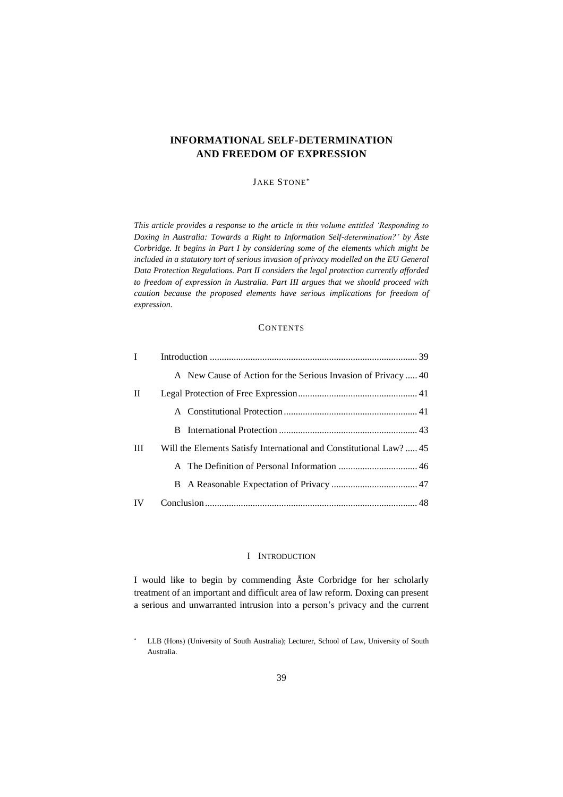# **INFORMATIONAL SELF-DETERMINATION AND FREEDOM OF EXPRESSION**

# JAKE STONE

*This article provides a response to the article in this volume entitled 'Responding to Doxing in Australia: Towards a Right to Information Self-determination?' by Åste Corbridge. It begins in Part I by considering some of the elements which might be included in a statutory tort of serious invasion of privacy modelled on the EU General Data Protection Regulations. Part II considers the legal protection currently afforded to freedom of expression in Australia. Part III argues that we should proceed with caution because the proposed elements have serious implications for freedom of expression.*

# **CONTENTS**

| $\bf{I}$     |                                                                     |  |
|--------------|---------------------------------------------------------------------|--|
|              | A New Cause of Action for the Serious Invasion of Privacy  40       |  |
| $\mathbf{H}$ |                                                                     |  |
|              |                                                                     |  |
|              |                                                                     |  |
| Ш            | Will the Elements Satisfy International and Constitutional Law?  45 |  |
|              |                                                                     |  |
|              |                                                                     |  |
| IV           |                                                                     |  |

# I INTRODUCTION

<span id="page-0-0"></span>I would like to begin by commending Åste Corbridge for her scholarly treatment of an important and difficult area of law reform. Doxing can present a serious and unwarranted intrusion into a person's privacy and the current

LLB (Hons) (University of South Australia); Lecturer, School of Law, University of South Australia.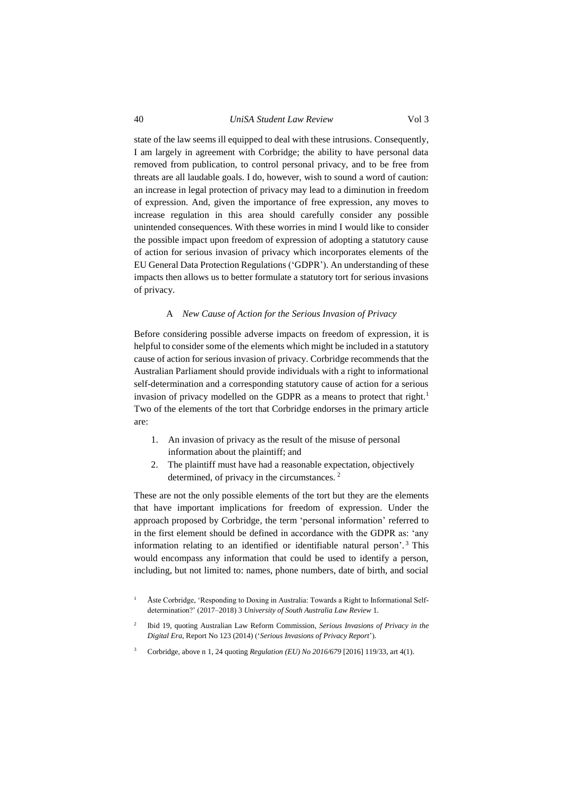state of the law seems ill equipped to deal with these intrusions. Consequently, I am largely in agreement with Corbridge; the ability to have personal data removed from publication, to control personal privacy, and to be free from threats are all laudable goals. I do, however, wish to sound a word of caution: an increase in legal protection of privacy may lead to a diminution in freedom of expression. And, given the importance of free expression, any moves to increase regulation in this area should carefully consider any possible unintended consequences. With these worries in mind I would like to consider the possible impact upon freedom of expression of adopting a statutory cause of action for serious invasion of privacy which incorporates elements of the EU General Data Protection Regulations ('GDPR'). An understanding of these impacts then allows us to better formulate a statutory tort for serious invasions of privacy.

#### A *New Cause of Action for the Serious Invasion of Privacy*

<span id="page-1-0"></span>Before considering possible adverse impacts on freedom of expression, it is helpful to consider some of the elements which might be included in a statutory cause of action for serious invasion of privacy. Corbridge recommends that the Australian Parliament should provide individuals with a right to informational self-determination and a corresponding statutory cause of action for a serious invasion of privacy modelled on the GDPR as a means to protect that right.<sup>1</sup> Two of the elements of the tort that Corbridge endorses in the primary article are:

- 1. An invasion of privacy as the result of the misuse of personal information about the plaintiff; and
- 2. The plaintiff must have had a reasonable expectation, objectively determined, of privacy in the circumstances. <sup>2</sup>

These are not the only possible elements of the tort but they are the elements that have important implications for freedom of expression. Under the approach proposed by Corbridge, the term 'personal information' referred to in the first element should be defined in accordance with the GDPR as: 'any information relating to an identified or identifiable natural person'. <sup>3</sup> This would encompass any information that could be used to identify a person, including, but not limited to: names, phone numbers, date of birth, and social

- 2 Ibid 19, quoting Australian Law Reform Commission, *Serious Invasions of Privacy in the Digital Era*, Report No 123 (2014) ('*Serious Invasions of Privacy Report*').
- <sup>3</sup> Corbridge, above n 1, 24 quoting *Regulation (EU) No 2016/679* [2016] 119/33, art 4(1).

Åste Corbridge, 'Responding to Doxing in Australia: Towards a Right to Informational Selfdetermination?' (2017–2018) 3 *University of South Australia Law Review* 1.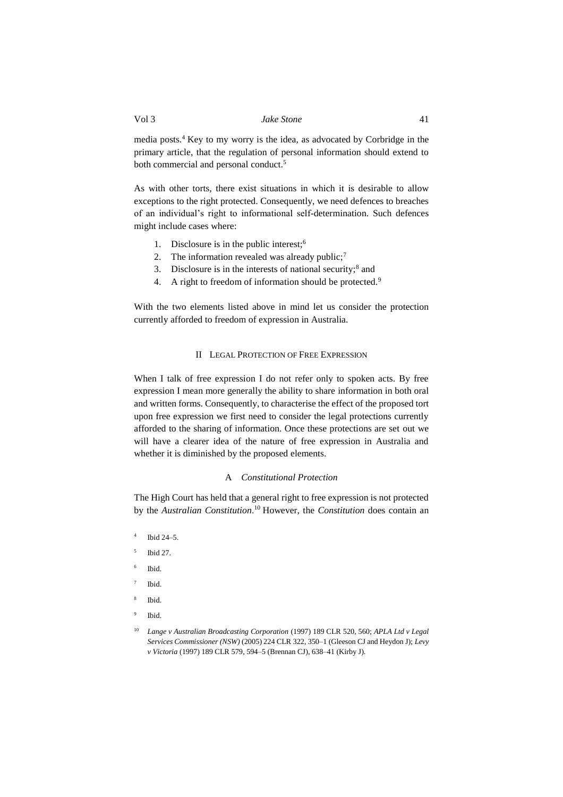media posts.<sup>4</sup> Key to my worry is the idea, as advocated by Corbridge in the primary article, that the regulation of personal information should extend to both commercial and personal conduct. 5

As with other torts, there exist situations in which it is desirable to allow exceptions to the right protected. Consequently, we need defences to breaches of an individual's right to informational self-determination. Such defences might include cases where:

- 1. Disclosure is in the public interest;<sup>6</sup>
- 2. The information revealed was already public;<sup>7</sup>
- 3. Disclosure is in the interests of national security; $<sup>8</sup>$  and</sup>
- 4. A right to freedom of information should be protected.<sup>9</sup>

<span id="page-2-0"></span>With the two elements listed above in mind let us consider the protection currently afforded to freedom of expression in Australia.

# II LEGAL PROTECTION OF FREE EXPRESSION

When I talk of free expression I do not refer only to spoken acts. By free expression I mean more generally the ability to share information in both oral and written forms. Consequently, to characterise the effect of the proposed tort upon free expression we first need to consider the legal protections currently afforded to the sharing of information. Once these protections are set out we will have a clearer idea of the nature of free expression in Australia and whether it is diminished by the proposed elements.

#### A *Constitutional Protection*

<span id="page-2-1"></span>The High Court has held that a general right to free expression is not protected by the *Australian Constitution*. <sup>10</sup> However, the *Constitution* does contain an

- 4 Ibid 24–5.
- 5 Ibid 27.
- 6 Ibid.
- 7 Ibid.
- 8 Ibid.
- 9 Ibid.

<sup>10</sup> *Lange v Australian Broadcasting Corporation* (1997) 189 CLR 520, 560; *APLA Ltd v Legal Services Commissioner (NSW)* (2005) 224 CLR 322, 350–1 (Gleeson CJ and Heydon J); *Levy v Victoria* (1997) 189 CLR 579, 594–5 (Brennan CJ), 638–41 (Kirby J).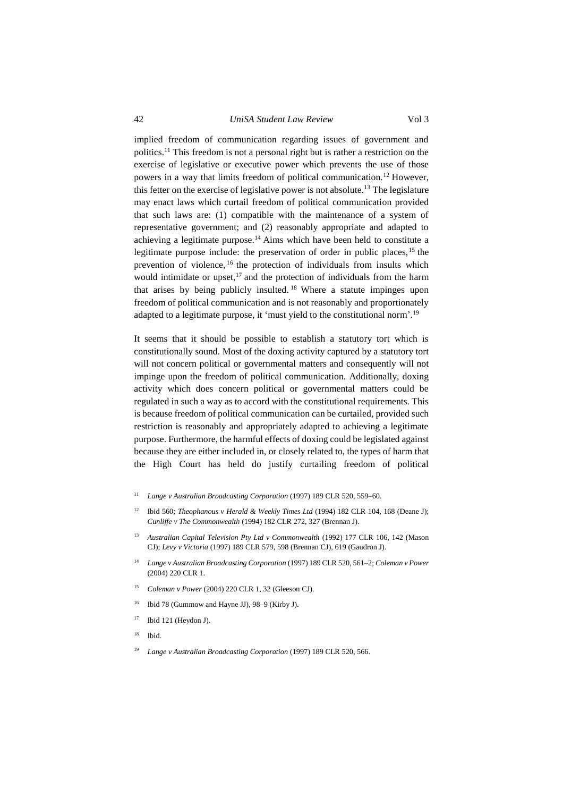## 42 *UniSA Student Law Review* Vol 3

implied freedom of communication regarding issues of government and politics.<sup>11</sup> This freedom is not a personal right but is rather a restriction on the exercise of legislative or executive power which prevents the use of those powers in a way that limits freedom of political communication.<sup>12</sup> However, this fetter on the exercise of legislative power is not absolute.<sup>13</sup> The legislature may enact laws which curtail freedom of political communication provided that such laws are: (1) compatible with the maintenance of a system of representative government; and (2) reasonably appropriate and adapted to achieving a legitimate purpose.<sup>14</sup> Aims which have been held to constitute a legitimate purpose include: the preservation of order in public places,<sup>15</sup> the prevention of violence, <sup>16</sup> the protection of individuals from insults which would intimidate or upset, $17$  and the protection of individuals from the harm that arises by being publicly insulted. <sup>18</sup> Where a statute impinges upon freedom of political communication and is not reasonably and proportionately adapted to a legitimate purpose, it 'must yield to the constitutional norm'.<sup>19</sup>

It seems that it should be possible to establish a statutory tort which is constitutionally sound. Most of the doxing activity captured by a statutory tort will not concern political or governmental matters and consequently will not impinge upon the freedom of political communication. Additionally, doxing activity which does concern political or governmental matters could be regulated in such a way as to accord with the constitutional requirements. This is because freedom of political communication can be curtailed, provided such restriction is reasonably and appropriately adapted to achieving a legitimate purpose. Furthermore, the harmful effects of doxing could be legislated against because they are either included in, or closely related to, the types of harm that the High Court has held do justify curtailing freedom of political

- <sup>11</sup> *Lange v Australian Broadcasting Corporation* (1997) 189 CLR 520, 559–60.
- <sup>12</sup> Ibid 560; *Theophanous v Herald & Weekly Times Ltd* (1994) 182 CLR 104, 168 (Deane J); *Cunliffe v The Commonwealth* (1994) 182 CLR 272, 327 (Brennan J).
- <sup>13</sup> *Australian Capital Television Pty Ltd v Commonwealth* (1992) 177 CLR 106, 142 (Mason CJ); *Levy v Victoria* (1997) 189 CLR 579, 598 (Brennan CJ), 619 (Gaudron J).
- <sup>14</sup> *Lange v Australian Broadcasting Corporation* (1997) 189 CLR 520, 561–2; *Coleman v Power* (2004) 220 CLR 1.
- <sup>15</sup> *Coleman v Power* (2004) 220 CLR 1, 32 (Gleeson CJ).
- <sup>16</sup> Ibid 78 (Gummow and Hayne JJ), 98–9 (Kirby J).
- $17$  Ibid 121 (Heydon J).
- $18$  Ibid.
- <sup>19</sup> *Lange v Australian Broadcasting Corporation* (1997) 189 CLR 520, 566.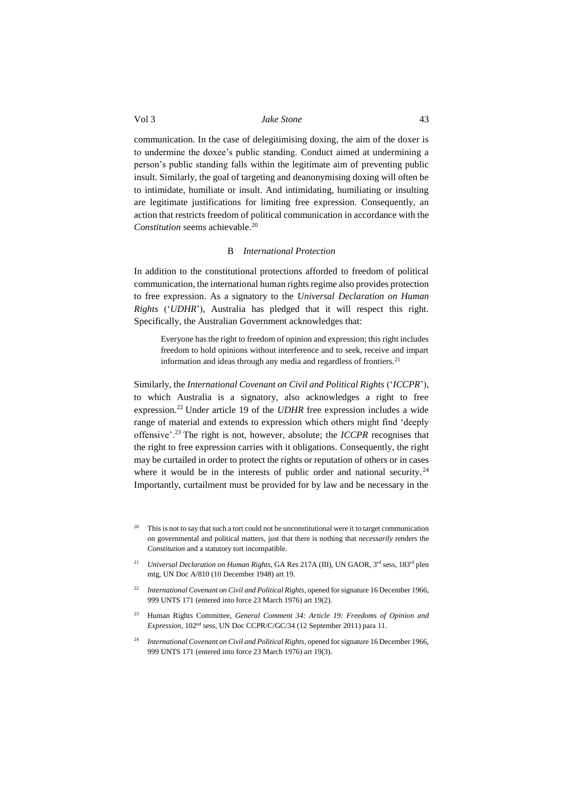communication. In the case of delegitimising doxing, the aim of the doxer is to undermine the doxee's public standing. Conduct aimed at undermining a person's public standing falls within the legitimate aim of preventing public insult. Similarly, the goal of targeting and deanonymising doxing will often be to intimidate, humiliate or insult. And intimidating, humiliating or insulting are legitimate justifications for limiting free expression. Consequently, an action that restricts freedom of political communication in accordance with the *Constitution* seems achievable.<sup>20</sup>

## B *International Protection*

<span id="page-4-0"></span>In addition to the constitutional protections afforded to freedom of political communication, the international human rights regime also provides protection to free expression. As a signatory to the *Universal Declaration on Human Rights* ('*UDHR*'), Australia has pledged that it will respect this right. Specifically, the Australian Government acknowledges that:

Everyone has the right to freedom of opinion and expression; this right includes freedom to hold opinions without interference and to seek, receive and impart information and ideas through any media and regardless of frontiers.<sup>21</sup>

Similarly, the *International Covenant on Civil and Political Rights* ('*ICCPR*'), to which Australia is a signatory, also acknowledges a right to free expression.<sup>22</sup> Under article 19 of the *UDHR* free expression includes a wide range of material and extends to expression which others might find 'deeply offensive'.<sup>23</sup> The right is not, however, absolute; the *ICCPR* recognises that the right to free expression carries with it obligations. Consequently, the right may be curtailed in order to protect the rights or reputation of others or in cases where it would be in the interests of public order and national security.<sup>24</sup> Importantly, curtailment must be provided for by law and be necessary in the

- <sup>20</sup> This is not to say that such a tort could not be unconstitutional were it to target communication on governmental and political matters, just that there is nothing that *necessarily* renders the *Constitution* and a statutory tort incompatible.
- <sup>21</sup> *Universal Declaration on Human Rights*, GA Res 217A (III), UN GAOR, 3<sup>rd</sup> sess, 183<sup>rd</sup> plen mtg, UN Doc A/810 (10 December 1948) art 19.
- <sup>22</sup> *International Covenant on Civil and Political Rights*, opened for signature 16 December 1966, 999 UNTS 171 (entered into force 23 March 1976) art 19(2).
- <sup>23</sup> Human Rights Committee, *General Comment 34: Article 19: Freedoms of Opinion and Expression*, 102nd sess, UN Doc CCPR/C/GC/34 (12 September 2011) para 11.
- <sup>24</sup> *International Covenant on Civil and Political Rights*, opened for signature 16 December 1966, 999 UNTS 171 (entered into force 23 March 1976) art 19(3).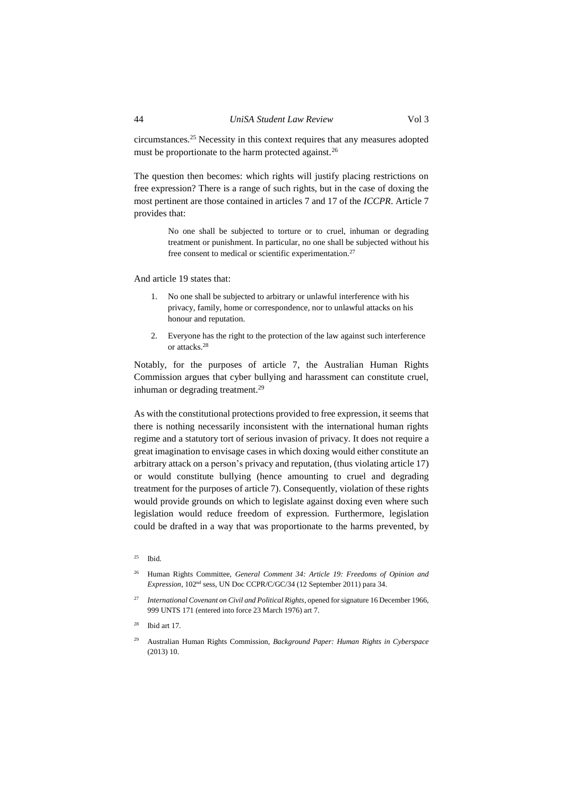The question then becomes: which rights will justify placing restrictions on free expression? There is a range of such rights, but in the case of doxing the most pertinent are those contained in articles 7 and 17 of the *ICCPR*. Article 7 provides that:

> No one shall be subjected to torture or to cruel, inhuman or degrading treatment or punishment. In particular, no one shall be subjected without his free consent to medical or scientific experimentation.<sup>27</sup>

And article 19 states that:

- 1. No one shall be subjected to arbitrary or unlawful interference with his privacy, family, home or correspondence, nor to unlawful attacks on his honour and reputation.
- 2. Everyone has the right to the protection of the law against such interference or attacks.<sup>28</sup>

Notably, for the purposes of article 7, the Australian Human Rights Commission argues that cyber bullying and harassment can constitute cruel, inhuman or degrading treatment.<sup>29</sup>

As with the constitutional protections provided to free expression, it seems that there is nothing necessarily inconsistent with the international human rights regime and a statutory tort of serious invasion of privacy. It does not require a great imagination to envisage cases in which doxing would either constitute an arbitrary attack on a person's privacy and reputation, (thus violating article 17) or would constitute bullying (hence amounting to cruel and degrading treatment for the purposes of article 7). Consequently, violation of these rights would provide grounds on which to legislate against doxing even where such legislation would reduce freedom of expression. Furthermore, legislation could be drafted in a way that was proportionate to the harms prevented, by

<sup>26</sup> Human Rights Committee, *General Comment 34: Article 19: Freedoms of Opinion and Expression*, 102nd sess, UN Doc CCPR/C/GC/34 (12 September 2011) para 34.

 $25$  Ibid.

<sup>27</sup> *International Covenant on Civil and Political Rights*, opened for signature 16 December 1966, 999 UNTS 171 (entered into force 23 March 1976) art 7.

Ibid art 17

<sup>29</sup> Australian Human Rights Commission, *Background Paper: Human Rights in Cyberspace* (2013) 10.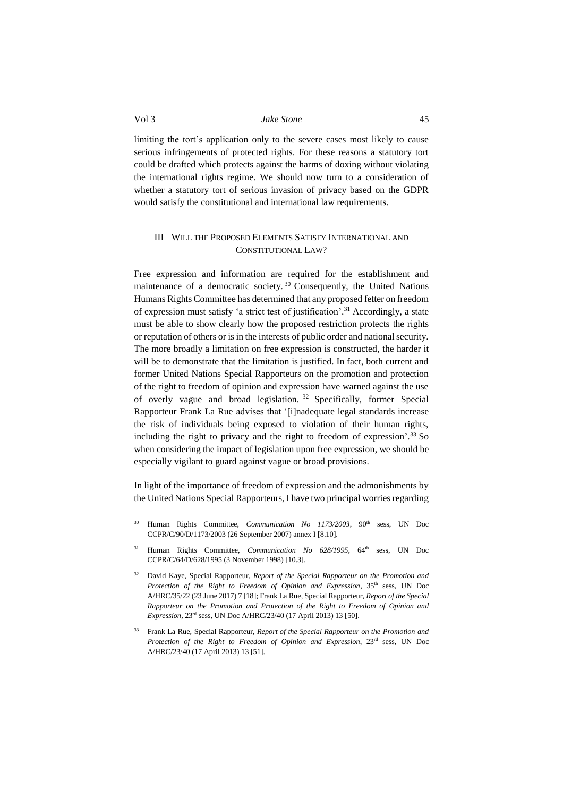limiting the tort's application only to the severe cases most likely to cause serious infringements of protected rights. For these reasons a statutory tort could be drafted which protects against the harms of doxing without violating the international rights regime. We should now turn to a consideration of whether a statutory tort of serious invasion of privacy based on the GDPR would satisfy the constitutional and international law requirements.

## <span id="page-6-0"></span>III WILL THE PROPOSED ELEMENTS SATISFY INTERNATIONAL AND CONSTITUTIONAL LAW?

Free expression and information are required for the establishment and maintenance of a democratic society. <sup>30</sup> Consequently, the United Nations Humans Rights Committee has determined that any proposed fetter on freedom of expression must satisfy 'a strict test of justification'. <sup>31</sup> Accordingly, a state must be able to show clearly how the proposed restriction protects the rights or reputation of others or is in the interests of public order and national security. The more broadly a limitation on free expression is constructed, the harder it will be to demonstrate that the limitation is justified. In fact, both current and former United Nations Special Rapporteurs on the promotion and protection of the right to freedom of opinion and expression have warned against the use of overly vague and broad legislation. <sup>32</sup> Specifically, former Special Rapporteur Frank La Rue advises that '[i]nadequate legal standards increase the risk of individuals being exposed to violation of their human rights, including the right to privacy and the right to freedom of expression'. <sup>33</sup> So when considering the impact of legislation upon free expression, we should be especially vigilant to guard against vague or broad provisions.

In light of the importance of freedom of expression and the admonishments by the United Nations Special Rapporteurs, I have two principal worries regarding

- Human Rights Committee, *Communication No 1173/2003*, 90<sup>th</sup> sess, UN Doc CCPR/C/90/D/1173/2003 (26 September 2007) annex I [8.10].
- <sup>31</sup> Human Rights Committee, *Communication No 628/1995*, 64<sup>th</sup> sess, UN Doc CCPR/C/64/D/628/1995 (3 November 1998) [10.3].
- <sup>32</sup> David Kaye, Special Rapporteur, *Report of the Special Rapporteur on the Promotion and*  Protection of the Right to Freedom of Opinion and Expression, 35<sup>th</sup> sess, UN Doc A/HRC/35/22 (23 June 2017) 7 [18]; Frank La Rue, Special Rapporteur, *Report of the Special Rapporteur on the Promotion and Protection of the Right to Freedom of Opinion and Expression*, 23rd sess, UN Doc A/HRC/23/40 (17 April 2013) 13 [50].
- <sup>33</sup> Frank La Rue, Special Rapporteur, *Report of the Special Rapporteur on the Promotion and Protection of the Right to Freedom of Opinion and Expression*, 23rd sess, UN Doc A/HRC/23/40 (17 April 2013) 13 [51].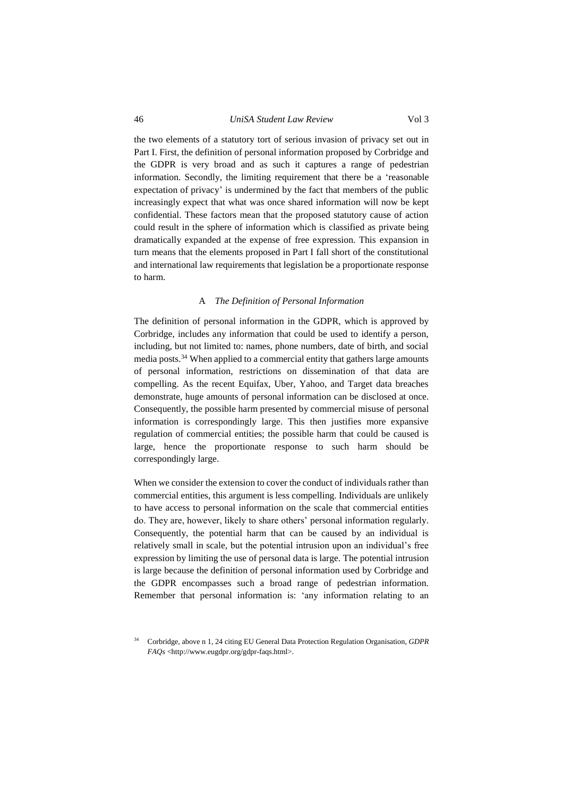## 46 *UniSA Student Law Review* Vol 3

the two elements of a statutory tort of serious invasion of privacy set out in Part I. First, the definition of personal information proposed by Corbridge and the GDPR is very broad and as such it captures a range of pedestrian information. Secondly, the limiting requirement that there be a 'reasonable expectation of privacy' is undermined by the fact that members of the public increasingly expect that what was once shared information will now be kept confidential. These factors mean that the proposed statutory cause of action could result in the sphere of information which is classified as private being dramatically expanded at the expense of free expression. This expansion in turn means that the elements proposed in Part I fall short of the constitutional and international law requirements that legislation be a proportionate response to harm.

#### A *The Definition of Personal Information*

<span id="page-7-0"></span>The definition of personal information in the GDPR, which is approved by Corbridge, includes any information that could be used to identify a person, including, but not limited to: names, phone numbers, date of birth, and social media posts.<sup>34</sup> When applied to a commercial entity that gathers large amounts of personal information, restrictions on dissemination of that data are compelling. As the recent Equifax, Uber, Yahoo, and Target data breaches demonstrate, huge amounts of personal information can be disclosed at once. Consequently, the possible harm presented by commercial misuse of personal information is correspondingly large. This then justifies more expansive regulation of commercial entities; the possible harm that could be caused is large, hence the proportionate response to such harm should be correspondingly large.

When we consider the extension to cover the conduct of individuals rather than commercial entities, this argument is less compelling. Individuals are unlikely to have access to personal information on the scale that commercial entities do. They are, however, likely to share others' personal information regularly. Consequently, the potential harm that can be caused by an individual is relatively small in scale, but the potential intrusion upon an individual's free expression by limiting the use of personal data is large. The potential intrusion is large because the definition of personal information used by Corbridge and the GDPR encompasses such a broad range of pedestrian information. Remember that personal information is: 'any information relating to an

<sup>34</sup> Corbridge, above n 1, 24 citing EU General Data Protection Regulation Organisation, *GDPR FAQs* <http://www.eugdpr.org/gdpr-faqs.html>.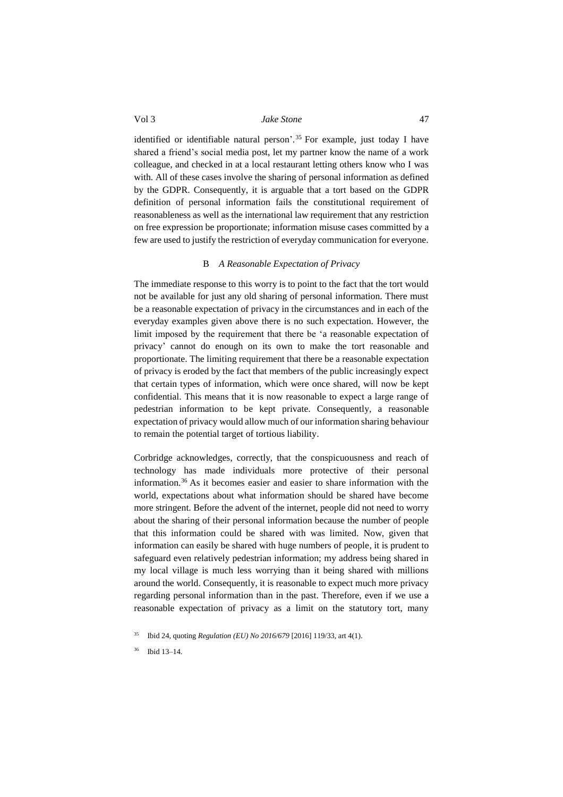identified or identifiable natural person'. <sup>35</sup> For example, just today I have shared a friend's social media post, let my partner know the name of a work colleague, and checked in at a local restaurant letting others know who I was with. All of these cases involve the sharing of personal information as defined by the GDPR. Consequently, it is arguable that a tort based on the GDPR definition of personal information fails the constitutional requirement of reasonableness as well as the international law requirement that any restriction on free expression be proportionate; information misuse cases committed by a few are used to justify the restriction of everyday communication for everyone.

#### B *A Reasonable Expectation of Privacy*

<span id="page-8-0"></span>The immediate response to this worry is to point to the fact that the tort would not be available for just any old sharing of personal information. There must be a reasonable expectation of privacy in the circumstances and in each of the everyday examples given above there is no such expectation. However, the limit imposed by the requirement that there be 'a reasonable expectation of privacy' cannot do enough on its own to make the tort reasonable and proportionate. The limiting requirement that there be a reasonable expectation of privacy is eroded by the fact that members of the public increasingly expect that certain types of information, which were once shared, will now be kept confidential. This means that it is now reasonable to expect a large range of pedestrian information to be kept private. Consequently, a reasonable expectation of privacy would allow much of our information sharing behaviour to remain the potential target of tortious liability.

Corbridge acknowledges, correctly, that the conspicuousness and reach of technology has made individuals more protective of their personal information.<sup>36</sup> As it becomes easier and easier to share information with the world, expectations about what information should be shared have become more stringent. Before the advent of the internet, people did not need to worry about the sharing of their personal information because the number of people that this information could be shared with was limited. Now, given that information can easily be shared with huge numbers of people, it is prudent to safeguard even relatively pedestrian information; my address being shared in my local village is much less worrying than it being shared with millions around the world. Consequently, it is reasonable to expect much more privacy regarding personal information than in the past. Therefore, even if we use a reasonable expectation of privacy as a limit on the statutory tort, many

<sup>35</sup> Ibid 24, quoting *Regulation (EU) No 2016/679* [2016] 119/33, art 4(1).

<sup>36</sup> Ibid 13–14.